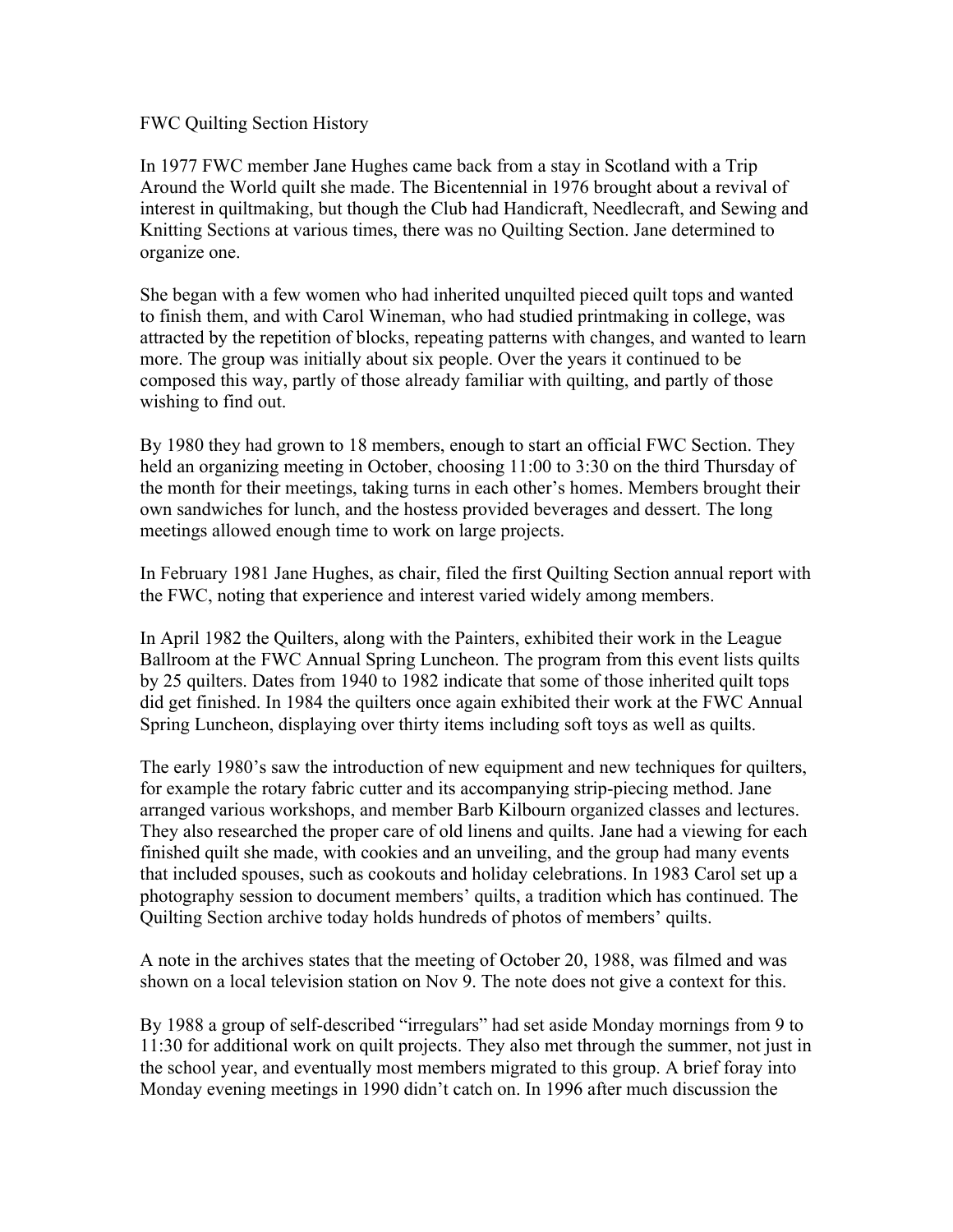## FWC Quilting Section History

In 1977 FWC member Jane Hughes came back from a stay in Scotland with a Trip Around the World quilt she made. The Bicentennial in 1976 brought about a revival of interest in quiltmaking, but though the Club had Handicraft, Needlecraft, and Sewing and Knitting Sections at various times, there was no Quilting Section. Jane determined to organize one.

She began with a few women who had inherited unquilted pieced quilt tops and wanted to finish them, and with Carol Wineman, who had studied printmaking in college, was attracted by the repetition of blocks, repeating patterns with changes, and wanted to learn more. The group was initially about six people. Over the years it continued to be composed this way, partly of those already familiar with quilting, and partly of those wishing to find out.

By 1980 they had grown to 18 members, enough to start an official FWC Section. They held an organizing meeting in October, choosing 11:00 to 3:30 on the third Thursday of the month for their meetings, taking turns in each other's homes. Members brought their own sandwiches for lunch, and the hostess provided beverages and dessert. The long meetings allowed enough time to work on large projects.

In February 1981 Jane Hughes, as chair, filed the first Quilting Section annual report with the FWC, noting that experience and interest varied widely among members.

In April 1982 the Quilters, along with the Painters, exhibited their work in the League Ballroom at the FWC Annual Spring Luncheon. The program from this event lists quilts by 25 quilters. Dates from 1940 to 1982 indicate that some of those inherited quilt tops did get finished. In 1984 the quilters once again exhibited their work at the FWC Annual Spring Luncheon, displaying over thirty items including soft toys as well as quilts.

The early 1980's saw the introduction of new equipment and new techniques for quilters, for example the rotary fabric cutter and its accompanying strip-piecing method. Jane arranged various workshops, and member Barb Kilbourn organized classes and lectures. They also researched the proper care of old linens and quilts. Jane had a viewing for each finished quilt she made, with cookies and an unveiling, and the group had many events that included spouses, such as cookouts and holiday celebrations. In 1983 Carol set up a photography session to document members' quilts, a tradition which has continued. The Quilting Section archive today holds hundreds of photos of members' quilts.

A note in the archives states that the meeting of October 20, 1988, was filmed and was shown on a local television station on Nov 9. The note does not give a context for this.

By 1988 a group of self-described "irregulars" had set aside Monday mornings from 9 to 11:30 for additional work on quilt projects. They also met through the summer, not just in the school year, and eventually most members migrated to this group. A brief foray into Monday evening meetings in 1990 didn't catch on. In 1996 after much discussion the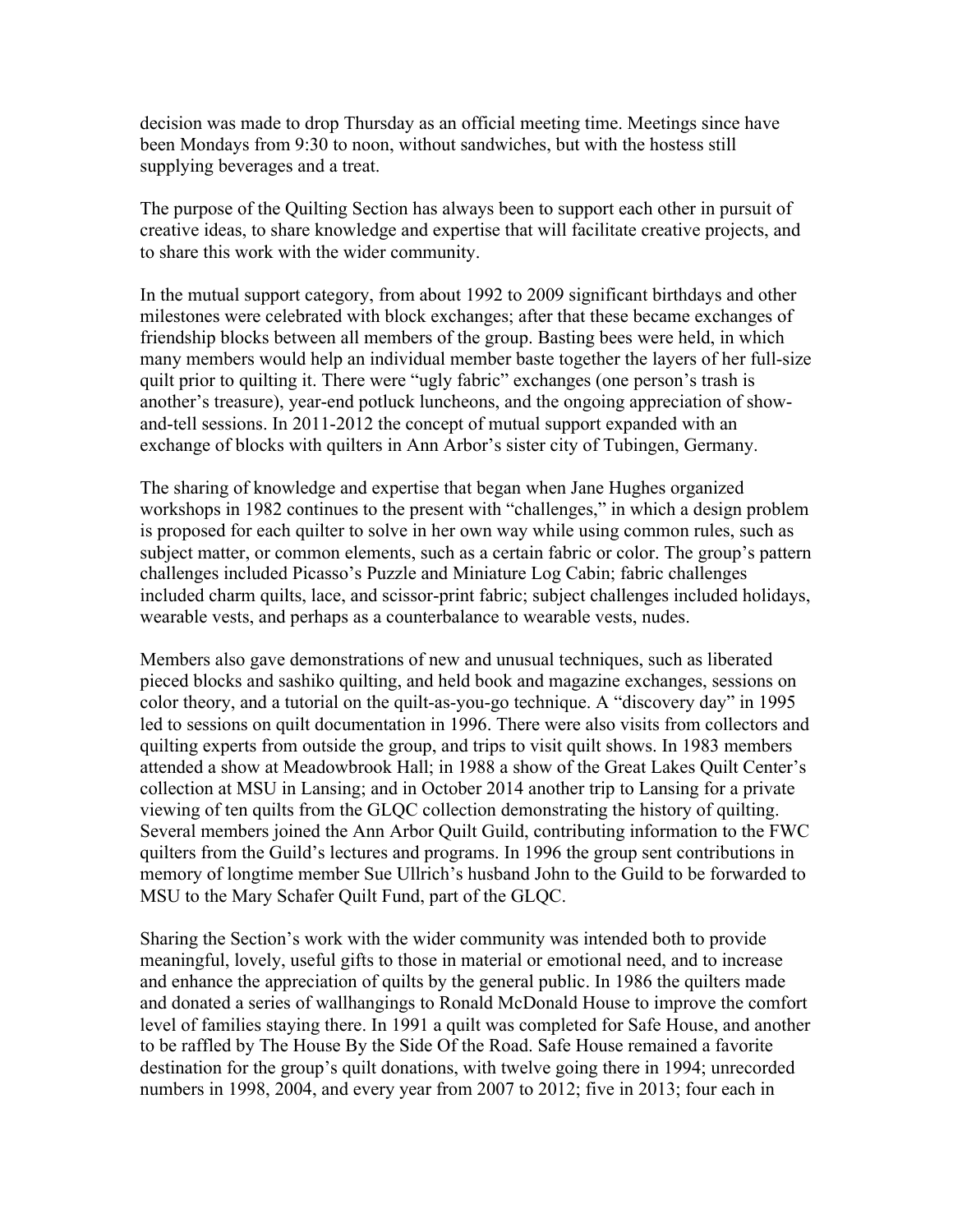decision was made to drop Thursday as an official meeting time. Meetings since have been Mondays from 9:30 to noon, without sandwiches, but with the hostess still supplying beverages and a treat.

The purpose of the Quilting Section has always been to support each other in pursuit of creative ideas, to share knowledge and expertise that will facilitate creative projects, and to share this work with the wider community.

In the mutual support category, from about 1992 to 2009 significant birthdays and other milestones were celebrated with block exchanges; after that these became exchanges of friendship blocks between all members of the group. Basting bees were held, in which many members would help an individual member baste together the layers of her full-size quilt prior to quilting it. There were "ugly fabric" exchanges (one person's trash is another's treasure), year-end potluck luncheons, and the ongoing appreciation of showand-tell sessions. In 2011-2012 the concept of mutual support expanded with an exchange of blocks with quilters in Ann Arbor's sister city of Tubingen, Germany.

The sharing of knowledge and expertise that began when Jane Hughes organized workshops in 1982 continues to the present with "challenges," in which a design problem is proposed for each quilter to solve in her own way while using common rules, such as subject matter, or common elements, such as a certain fabric or color. The group's pattern challenges included Picasso's Puzzle and Miniature Log Cabin; fabric challenges included charm quilts, lace, and scissor-print fabric; subject challenges included holidays, wearable vests, and perhaps as a counterbalance to wearable vests, nudes.

Members also gave demonstrations of new and unusual techniques, such as liberated pieced blocks and sashiko quilting, and held book and magazine exchanges, sessions on color theory, and a tutorial on the quilt-as-you-go technique. A "discovery day" in 1995 led to sessions on quilt documentation in 1996. There were also visits from collectors and quilting experts from outside the group, and trips to visit quilt shows. In 1983 members attended a show at Meadowbrook Hall; in 1988 a show of the Great Lakes Quilt Center's collection at MSU in Lansing; and in October 2014 another trip to Lansing for a private viewing of ten quilts from the GLQC collection demonstrating the history of quilting. Several members joined the Ann Arbor Quilt Guild, contributing information to the FWC quilters from the Guild's lectures and programs. In 1996 the group sent contributions in memory of longtime member Sue Ullrich's husband John to the Guild to be forwarded to MSU to the Mary Schafer Quilt Fund, part of the GLQC.

Sharing the Section's work with the wider community was intended both to provide meaningful, lovely, useful gifts to those in material or emotional need, and to increase and enhance the appreciation of quilts by the general public. In 1986 the quilters made and donated a series of wallhangings to Ronald McDonald House to improve the comfort level of families staying there. In 1991 a quilt was completed for Safe House, and another to be raffled by The House By the Side Of the Road. Safe House remained a favorite destination for the group's quilt donations, with twelve going there in 1994; unrecorded numbers in 1998, 2004, and every year from 2007 to 2012; five in 2013; four each in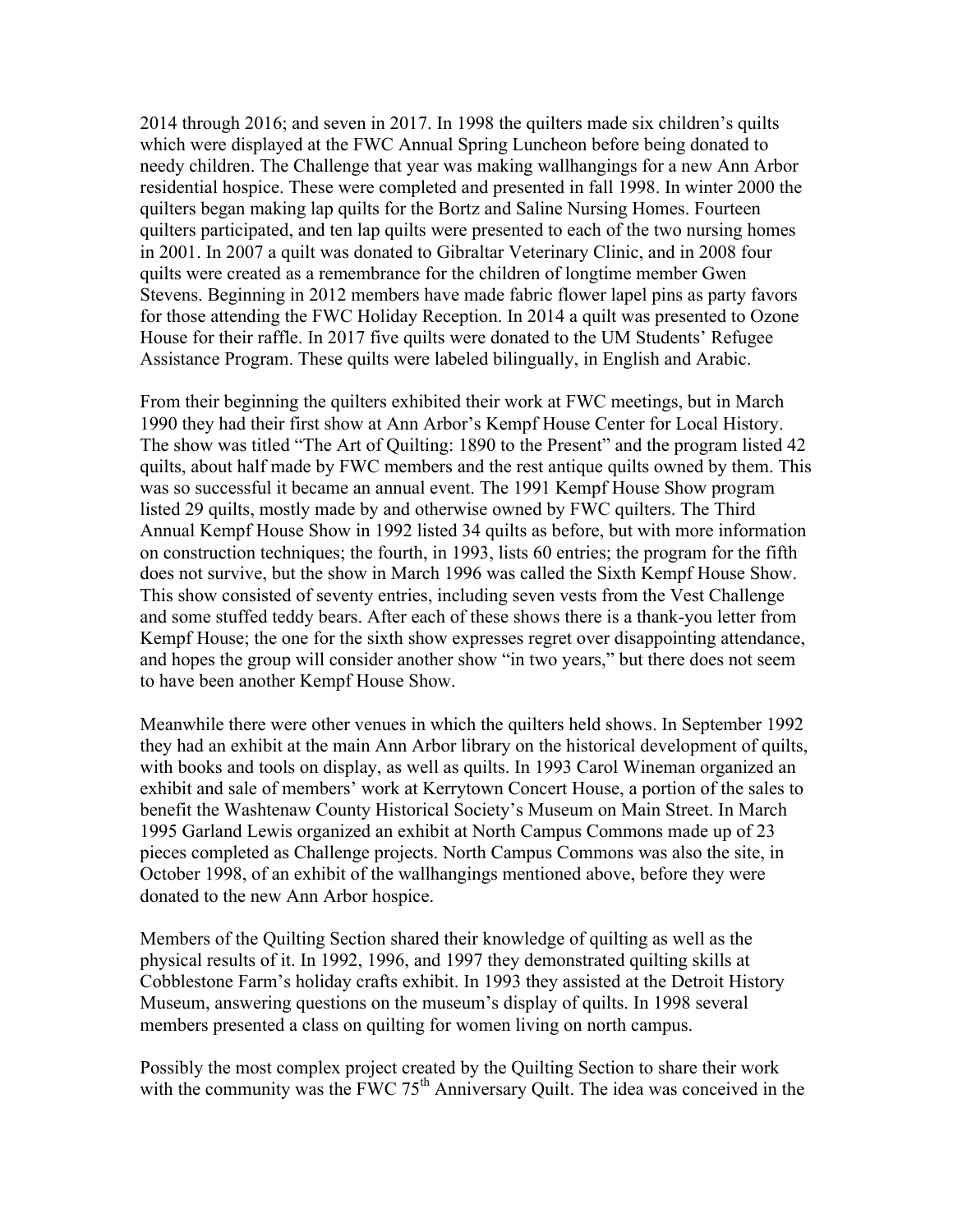2014 through 2016; and seven in 2017. In 1998 the quilters made six children's quilts which were displayed at the FWC Annual Spring Luncheon before being donated to needy children. The Challenge that year was making wallhangings for a new Ann Arbor residential hospice. These were completed and presented in fall 1998. In winter 2000 the quilters began making lap quilts for the Bortz and Saline Nursing Homes. Fourteen quilters participated, and ten lap quilts were presented to each of the two nursing homes in 2001. In 2007 a quilt was donated to Gibraltar Veterinary Clinic, and in 2008 four quilts were created as a remembrance for the children of longtime member Gwen Stevens. Beginning in 2012 members have made fabric flower lapel pins as party favors for those attending the FWC Holiday Reception. In 2014 a quilt was presented to Ozone House for their raffle. In 2017 five quilts were donated to the UM Students' Refugee Assistance Program. These quilts were labeled bilingually, in English and Arabic.

From their beginning the quilters exhibited their work at FWC meetings, but in March 1990 they had their first show at Ann Arbor's Kempf House Center for Local History. The show was titled "The Art of Quilting: 1890 to the Present" and the program listed 42 quilts, about half made by FWC members and the rest antique quilts owned by them. This was so successful it became an annual event. The 1991 Kempf House Show program listed 29 quilts, mostly made by and otherwise owned by FWC quilters. The Third Annual Kempf House Show in 1992 listed 34 quilts as before, but with more information on construction techniques; the fourth, in 1993, lists 60 entries; the program for the fifth does not survive, but the show in March 1996 was called the Sixth Kempf House Show. This show consisted of seventy entries, including seven vests from the Vest Challenge and some stuffed teddy bears. After each of these shows there is a thank-you letter from Kempf House; the one for the sixth show expresses regret over disappointing attendance, and hopes the group will consider another show "in two years," but there does not seem to have been another Kempf House Show.

Meanwhile there were other venues in which the quilters held shows. In September 1992 they had an exhibit at the main Ann Arbor library on the historical development of quilts, with books and tools on display, as well as quilts. In 1993 Carol Wineman organized an exhibit and sale of members' work at Kerrytown Concert House, a portion of the sales to benefit the Washtenaw County Historical Society's Museum on Main Street. In March 1995 Garland Lewis organized an exhibit at North Campus Commons made up of 23 pieces completed as Challenge projects. North Campus Commons was also the site, in October 1998, of an exhibit of the wallhangings mentioned above, before they were donated to the new Ann Arbor hospice.

Members of the Quilting Section shared their knowledge of quilting as well as the physical results of it. In 1992, 1996, and 1997 they demonstrated quilting skills at Cobblestone Farm's holiday crafts exhibit. In 1993 they assisted at the Detroit History Museum, answering questions on the museum's display of quilts. In 1998 several members presented a class on quilting for women living on north campus.

Possibly the most complex project created by the Quilting Section to share their work with the community was the FWC  $75<sup>th</sup>$  Anniversary Quilt. The idea was conceived in the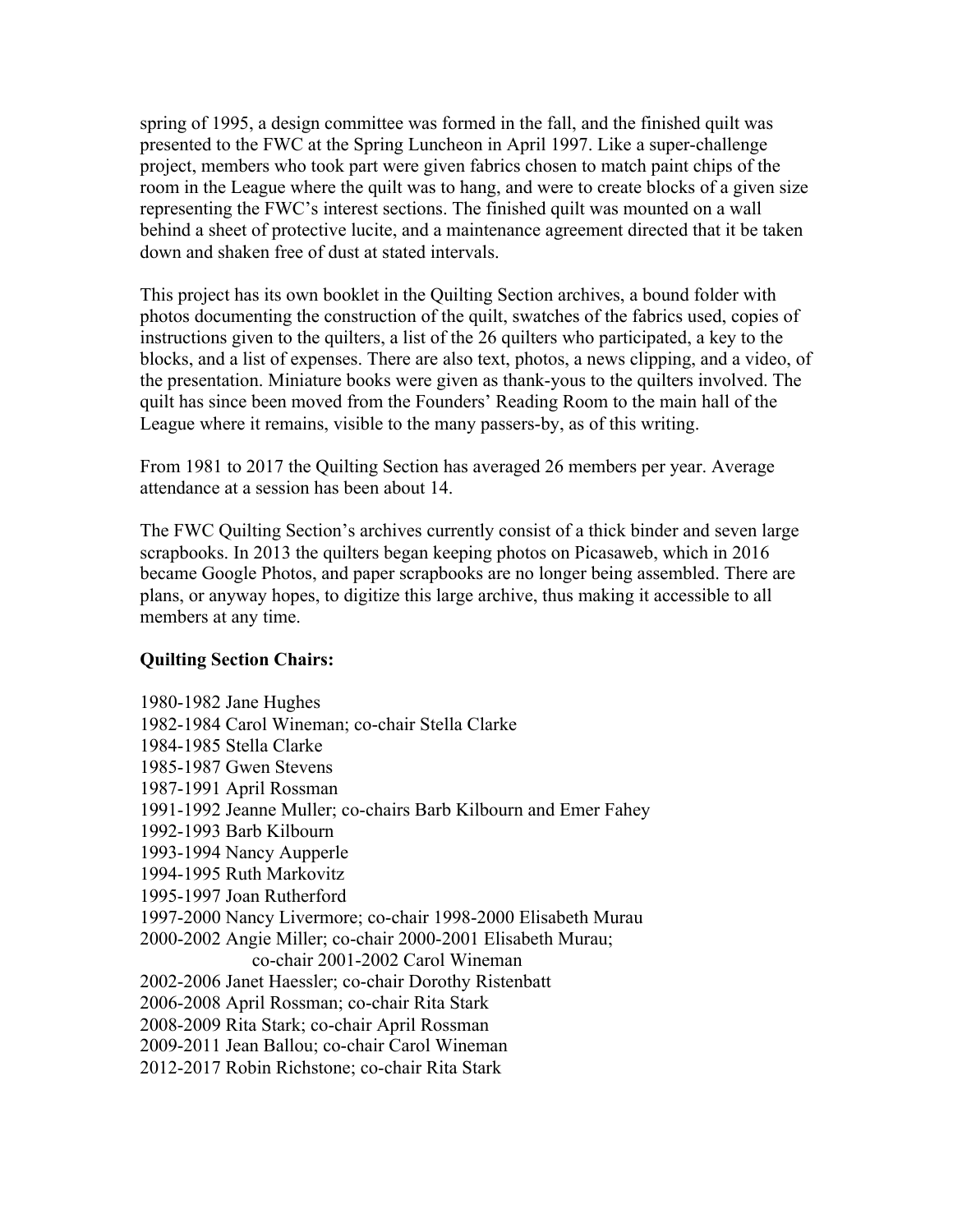spring of 1995, a design committee was formed in the fall, and the finished quilt was presented to the FWC at the Spring Luncheon in April 1997. Like a super-challenge project, members who took part were given fabrics chosen to match paint chips of the room in the League where the quilt was to hang, and were to create blocks of a given size representing the FWC's interest sections. The finished quilt was mounted on a wall behind a sheet of protective lucite, and a maintenance agreement directed that it be taken down and shaken free of dust at stated intervals.

This project has its own booklet in the Quilting Section archives, a bound folder with photos documenting the construction of the quilt, swatches of the fabrics used, copies of instructions given to the quilters, a list of the 26 quilters who participated, a key to the blocks, and a list of expenses. There are also text, photos, a news clipping, and a video, of the presentation. Miniature books were given as thank-yous to the quilters involved. The quilt has since been moved from the Founders' Reading Room to the main hall of the League where it remains, visible to the many passers-by, as of this writing.

From 1981 to 2017 the Quilting Section has averaged 26 members per year. Average attendance at a session has been about 14.

The FWC Quilting Section's archives currently consist of a thick binder and seven large scrapbooks. In 2013 the quilters began keeping photos on Picasaweb, which in 2016 became Google Photos, and paper scrapbooks are no longer being assembled. There are plans, or anyway hopes, to digitize this large archive, thus making it accessible to all members at any time.

## **Quilting Section Chairs:**

1980-1982 Jane Hughes 1982-1984 Carol Wineman; co-chair Stella Clarke 1984-1985 Stella Clarke 1985-1987 Gwen Stevens 1987-1991 April Rossman 1991-1992 Jeanne Muller; co-chairs Barb Kilbourn and Emer Fahey 1992-1993 Barb Kilbourn 1993-1994 Nancy Aupperle 1994-1995 Ruth Markovitz 1995-1997 Joan Rutherford 1997-2000 Nancy Livermore; co-chair 1998-2000 Elisabeth Murau 2000-2002 Angie Miller; co-chair 2000-2001 Elisabeth Murau; co-chair 2001-2002 Carol Wineman 2002-2006 Janet Haessler; co-chair Dorothy Ristenbatt 2006-2008 April Rossman; co-chair Rita Stark 2008-2009 Rita Stark; co-chair April Rossman 2009-2011 Jean Ballou; co-chair Carol Wineman 2012-2017 Robin Richstone; co-chair Rita Stark